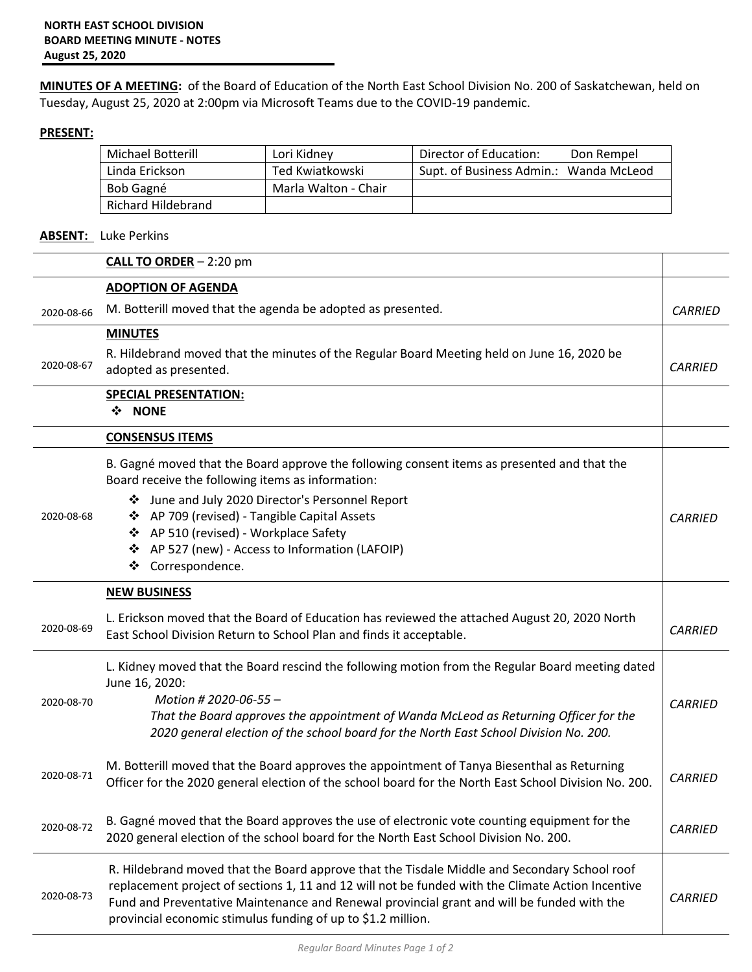**MINUTES OF A MEETING:** of the Board of Education of the North East School Division No. 200 of Saskatchewan, held on Tuesday, August 25, 2020 at 2:00pm via Microsoft Teams due to the COVID-19 pandemic.

## **PRESENT:**

| Michael Botterill  | Lori Kidney          | Director of Education:<br>Don Rempel   |
|--------------------|----------------------|----------------------------------------|
| Linda Erickson     | Ted Kwiatkowski      | Supt. of Business Admin.: Wanda McLeod |
| Bob Gagné          | Marla Walton - Chair |                                        |
| Richard Hildebrand |                      |                                        |

## **ABSENT:** Luke Perkins

|            | <b>CALL TO ORDER</b> $-2:20$ pm                                                                                                                                                                                                                                                                                                                                 |                |
|------------|-----------------------------------------------------------------------------------------------------------------------------------------------------------------------------------------------------------------------------------------------------------------------------------------------------------------------------------------------------------------|----------------|
|            | <b>ADOPTION OF AGENDA</b>                                                                                                                                                                                                                                                                                                                                       |                |
| 2020-08-66 | M. Botterill moved that the agenda be adopted as presented.                                                                                                                                                                                                                                                                                                     | <b>CARRIED</b> |
|            | <b>MINUTES</b>                                                                                                                                                                                                                                                                                                                                                  |                |
| 2020-08-67 | R. Hildebrand moved that the minutes of the Regular Board Meeting held on June 16, 2020 be<br>adopted as presented.                                                                                                                                                                                                                                             | <b>CARRIED</b> |
|            | <b>SPECIAL PRESENTATION:</b><br>❖ NONE                                                                                                                                                                                                                                                                                                                          |                |
|            | <b>CONSENSUS ITEMS</b>                                                                                                                                                                                                                                                                                                                                          |                |
|            | B. Gagné moved that the Board approve the following consent items as presented and that the<br>Board receive the following items as information:                                                                                                                                                                                                                |                |
| 2020-08-68 | ❖ June and July 2020 Director's Personnel Report<br>❖ AP 709 (revised) - Tangible Capital Assets<br>❖ AP 510 (revised) - Workplace Safety<br>❖ AP 527 (new) - Access to Information (LAFOIP)<br>Correspondence.<br>❖                                                                                                                                            | <b>CARRIED</b> |
|            | <b>NEW BUSINESS</b>                                                                                                                                                                                                                                                                                                                                             |                |
| 2020-08-69 | L. Erickson moved that the Board of Education has reviewed the attached August 20, 2020 North<br>East School Division Return to School Plan and finds it acceptable.                                                                                                                                                                                            | <b>CARRIED</b> |
| 2020-08-70 | L. Kidney moved that the Board rescind the following motion from the Regular Board meeting dated<br>June 16, 2020:<br>Motion # 2020-06-55 -<br>That the Board approves the appointment of Wanda McLeod as Returning Officer for the<br>2020 general election of the school board for the North East School Division No. 200.                                    | <b>CARRIED</b> |
| 2020-08-71 | M. Botterill moved that the Board approves the appointment of Tanya Biesenthal as Returning<br>Officer for the 2020 general election of the school board for the North East School Division No. 200.                                                                                                                                                            | <b>CARRIED</b> |
| 2020-08-72 | B. Gagné moved that the Board approves the use of electronic vote counting equipment for the<br>2020 general election of the school board for the North East School Division No. 200.                                                                                                                                                                           | <b>CARRIED</b> |
| 2020-08-73 | R. Hildebrand moved that the Board approve that the Tisdale Middle and Secondary School roof<br>replacement project of sections 1, 11 and 12 will not be funded with the Climate Action Incentive<br>Fund and Preventative Maintenance and Renewal provincial grant and will be funded with the<br>provincial economic stimulus funding of up to \$1.2 million. | <b>CARRIED</b> |